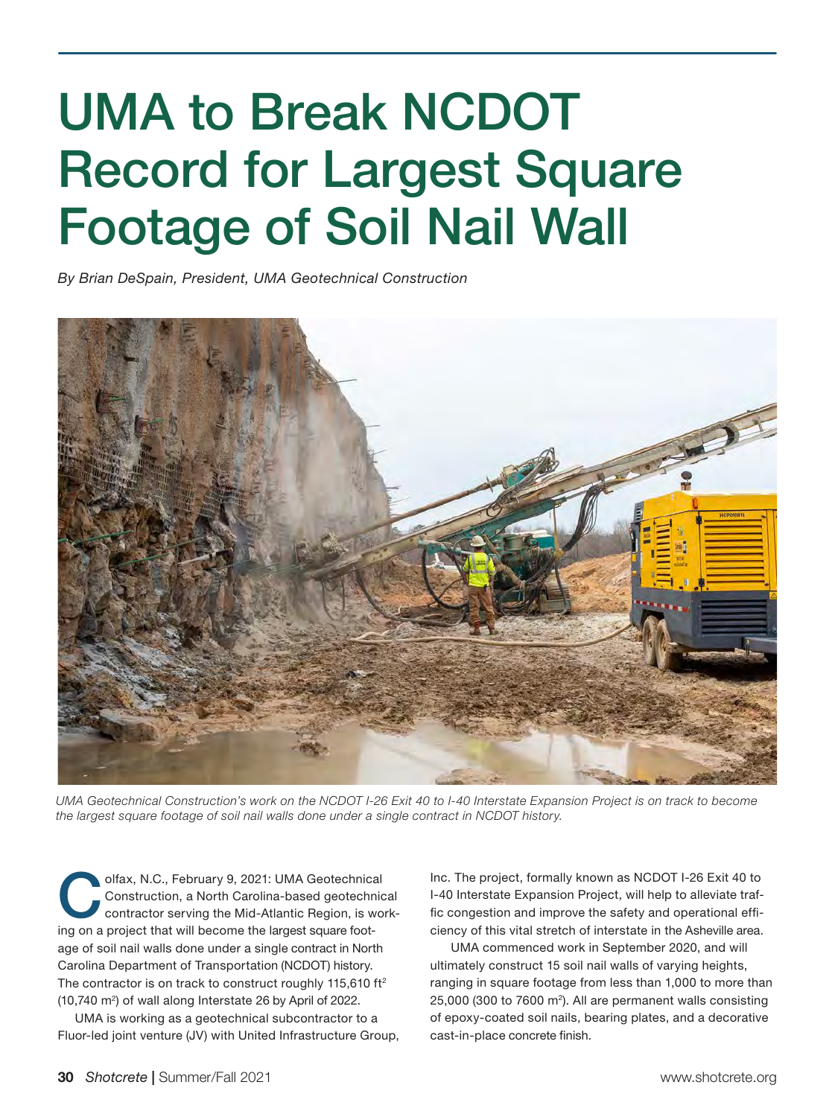## UMA to Break NCDOT Record for Largest Square Footage of Soil Nail Wall

*By Brian DeSpain, President, UMA Geotechnical Construction* 



*UMA Geotechnical Construction's work on the NCDOT I-26 Exit 40 to I-40 Interstate Expansion Project is on track to become the largest square footage of soil nail walls done under a single contract in NCDOT history.* 

Olfax, N.C., February 9, 2021: UMA Geotechnical<br>
Construction, a North Carolina-based geotechnical<br>
contractor serving the Mid-Atlantic Region, is work-<br>
is a graphical that will be aggress the lawset aggregated Construction, a North Carolina-based geotechnical ing on a project that will become the largest square footage of soil nail walls done under a single contract in North Carolina Department of Transportation (NCDOT) history. The contractor is on track to construct roughly 115,610  $ft<sup>2</sup>$  $(10,740 \text{ m}^2)$  of wall along Interstate 26 by April of 2022.

UMA is working as a geotechnical subcontractor to a Fluor-led joint venture (JV) with United Infrastructure Group,

Inc. The project, formally known as NCDOT I-26 Exit 40 to I-40 Interstate Expansion Project, will help to alleviate traffic congestion and improve the safety and operational efficiency of this vital stretch of interstate in the Asheville area.

 UMA commenced work in September 2020, and will ultimately construct 15 soil nail walls of varying heights, ranging in square footage from less than 1,000 to more than 25,000 (300 to 7600 m2 ). All are permanent walls consisting of epoxy-coated soil nails, bearing plates, and a decorative cast-in-place concrete finish.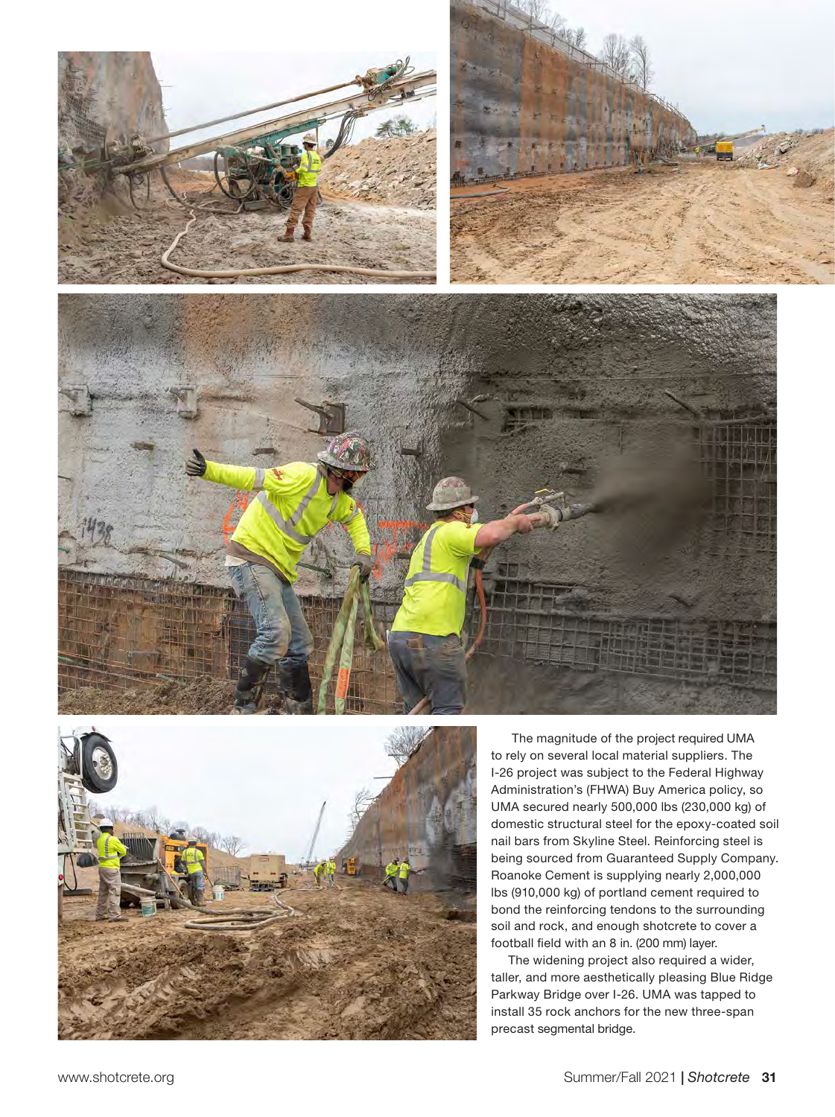







 The magnitude of the project required UMA to rely on several local material suppliers. The I-26 project was subject to the Federal Highway Administration's (FHWA) Buy America policy, so UMA secured nearly 500,000 lbs (230,000 kg) of domestic structural steel for the epoxy-coated soil nail bars from Skyline Steel. Reinforcing steel is being sourced from Guaranteed Supply Company. Roanoke Cement is supplying nearly 2,000,000 lbs (910,000 kg) of portland cement required to bond the reinforcing tendons to the surrounding soil and rock, and enough shotcrete to cover a football field with an 8 in. (200 mm) layer.

The widening project also required a wider, taller, and more aesthetically pleasing Blue Ridge Parkway Bridge over I-26. UMA was tapped to install 35 rock anchors for the new three-span precast segmental bridge.